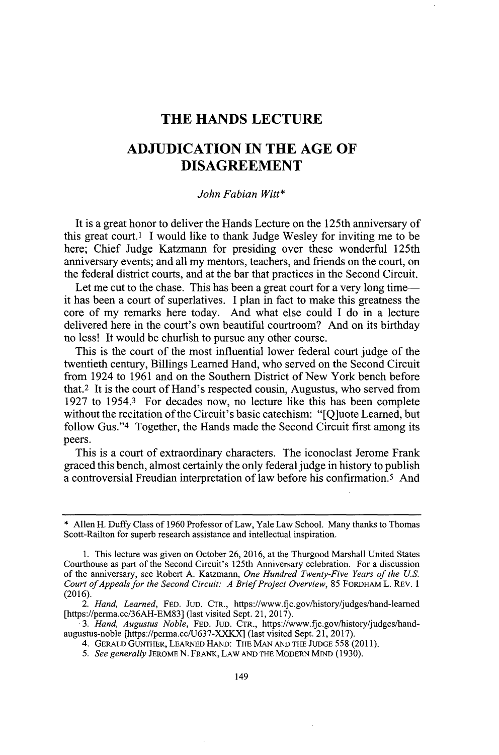## **THE HANDS LECTURE**

# **ADJUDICATION IN THE AGE OF DISAGREEMENT**

## *John Fabian Witt\**

It is a great honor to deliver the Hands Lecture on the 125th anniversary of this great court.' **I** would like to thank Judge Wesley for inviting me to be here; Chief Judge Katzmann for presiding over these wonderful 125th anniversary events; and all my mentors, teachers, and friends on the court, on the federal district courts, and at the bar that practices in the Second Circuit.

Let me cut to the chase. This has been a great court for a very long time it has been a court of superlatives. **I** plan in fact to make this greatness the core of my remarks here today. And what else could **I** do in a lecture delivered here in the court's own beautiful courtroom? And on its birthday no less! It would be churlish to pursue any other course.

This is the court of the most influential lower federal court judge of the twentieth century, Billings Learned Hand, who served on the Second Circuit from 1924 to **1961** and on the Southern District of New York bench before that.2 It is the court of Hand's respected cousin, Augustus, who served from **1927** to 1954.3 For decades now, no lecture like this has been complete without the recitation of the Circuit's basic catechism: "[Q]uote Learned, but follow Gus."<sup>4</sup> Together, the Hands made the Second Circuit first among its peers.

This is a court of extraordinary characters. The iconoclast Jerome Frank graced this bench, almost certainly the only federal judge in history to publish a controversial Freudian interpretation of law before his confirmation.<sup>5</sup> And

*3. Hand, Augustus Noble,* **FED. JUD. CTR.,** https://www.fjc.gov/history/judges/handaugustus-noble [https://perma.cc/J637-XXKX] (last visited Sept. 21, **2017).**

*5. See generally* **JEROME N. FRANK, LAW AND THE MODERN MIND (1930).**

<sup>\*</sup> Allen H. Duffy Class of **1960** Professor of Law, Yale Law School. Many thanks to Thomas Scott-Railton for superb research assistance and intellectual inspiration.

**<sup>1.</sup>** This lecture was given on October **26, 2016,** at the Thurgood Marshall United States Courthouse as part of the Second Circuit's 125th Anniversary celebration. For a discussion of the anniversary, see Robert **A.** Katzmann, *One Hundred Twenty-Five Years of the U.S. Court ofAppeals for the Second Circuit: A Brief Project Overview,* **85 FORDHAM L. REv. 1 (2016).**

*<sup>2.</sup> Hand, Learned,* **FED. JUD.** CTR., https://www.fjc.gov/history/judges/hand-learned *[https://perma.ce/36AH-EM83]* (last visited Sept. 21, **2017).**

<sup>4.</sup> **GERALD GUNTHER, LEARNED HAND: THE MAN AND THE JUDGE 558 (2011).**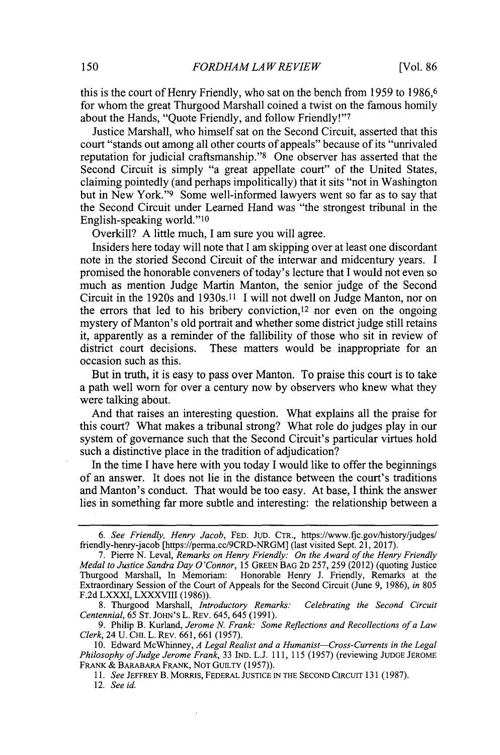this is the court of Henry Friendly, who sat on the bench from *1959* to **1986,6** for whom the great Thurgood Marshall coined a twist on the famous homily about the Hands, "Ouote Friendly, and follow Friendly!"7

Justice Marshall, who himself sat on the Second Circuit, asserted that this court "stands out among all other courts of appeals" because of its "unrivaled reputation for judicial craftsmanship."<sup>8</sup> One observer has asserted that the Second Circuit is simply "a great appellate court" of the United States, claiming pointedly (and perhaps impolitically) that it sits "not in Washington but in New York."<sup>9</sup> Some well-informed lawyers went so far as to say that the Second Circuit under Learned Hand was "the strongest tribunal in the English-speaking world."<sup>10</sup>

Overkill? **A** little much, **I** am sure you will agree.

Insiders here today will note that I am skipping over at least one discordant note in the storied Second Circuit of the interwar and midcentury years. **I** promised the honorable conveners of today's lecture that **I** would not even so much as mention Judge Martin Manton, the senior judge of the Second Circuit in the 1920s and 1930s.11 **I** will not dwell on Judge Manton, nor on the errors that led to his bribery conviction,  $12$  nor even on the ongoing mystery of Manton's old portrait and whether some district judge still retains it, apparently as a reminder of the fallibility of those who sit in review of district court decisions. These matters would be inappropriate for an occasion such as this.

But in truth, it is easy to pass over Manton. To praise this court is to take a path well worn for over a century now **by** observers who knew what they were talking about.

And that raises an interesting question. What explains all the praise for this court? What makes a tribunal strong? What role do judges play in our system of governance such that the Second Circuit's particular virtues hold such a distinctive place in the tradition of adjudication?

In the time **I** have here with you today **I** would like to offer the beginnings of an answer. It does not lie in the distance between the court's traditions and Manton's conduct. That would be too easy. At base, **I** think the answer lies in something far more subtle and interesting: the relationship between a

*<sup>6.</sup> See Friendly, Henry Jacob,* **FED. JUD.** CTR., https://www.fjc.gov/history/judges/ friendly-henry-jacob [https://perma.cc/9CRD-NRGM] (last visited Sept. 21, **2017).**

**<sup>7.</sup>** Pierre **N.** Leval, *Remarks on Henry Friendly: On the Award of the Henry Friendly Medal to Justice Sandra Day O'Connor, 15* **GREEN BAG 2D 257, 259** (2012) (quoting Justice Thurgood Marshall, In Memoriam: Honorable Henry **J.** Friendly, Remarks at the Extraordinary Session of the Court of Appeals for the Second Circuit (June **9, 1986),** *in 805* **F.2d** LXXXI, LXXXVIII **(1986)).**

**<sup>8.</sup>** Thurgood Marshall, *Introductory Remarks: Celebrating the Second Circuit Centennial, 65* **ST.** JOHN'S L. REv. 645, 645 **(1991).**

**<sup>9.</sup>** Philip B. Kurland, *Jerome N. Frank: Some Reflections and Recollections of a Law Clerk,* 24 **U.** CH. L. REv. **661, 661 (1957).**

**<sup>10.</sup>** Edward McWhinney, *A Legal Realist and a Humanist-Cross-Currents in the Legal Philosophy of Judge Jerome Frank,.33* IND. **L.J.** *111,* **115 (1957)** (reviewing **JUDGE JEROME** FRANK & BARABARA FRANK, NOT GUILTY (1957)).

*<sup>11.</sup> See* **JEFFREY** B. MORRIS, FEDERAL **JUSTICE IN** THE **SECOND** CIRCUIT **131 (1987).**

*<sup>12.</sup> See id.*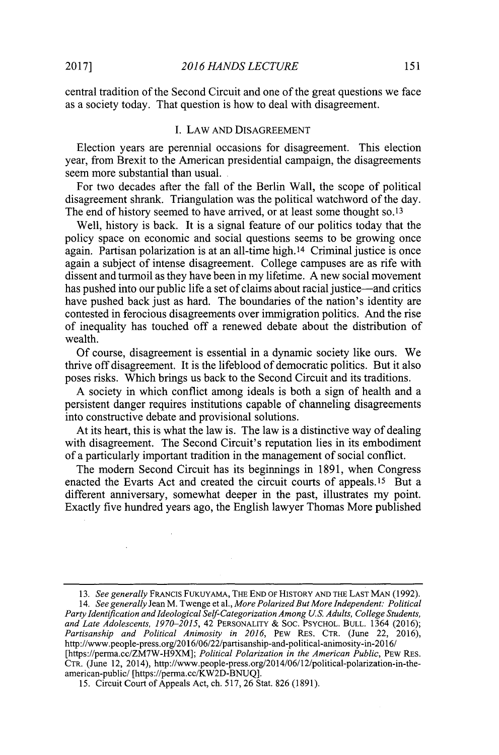central tradition of the Second Circuit and one of the great questions we face as a society today. That question is how to deal with disagreement.

## **I.** LAW **AND** DISAGREEMENT

Election years are perennial occasions for disagreement. This election year, from Brexit to the American presidential campaign, the disagreements seem more substantial than usual.

For two decades after the fall of the Berlin Wall, the scope of political disagreement shrank. Triangulation was the political watchword of the day. The end of history seemed to have arrived, or at least some thought **so. <sup>13</sup>**

Well, history is back. It is a signal feature of our politics today that the policy space on economic and social questions seems to be growing once again. Partisan polarization is at an all-time high.<sup>14</sup> Criminal justice is once again a subject of intense disagreement. College campuses are as rife with dissent and turmoil as they have been in my lifetime. **A** new social movement has pushed into our public life a set of claims about racial justice—and critics have pushed back just as hard. The boundaries of the nation's identity are contested in ferocious disagreements over immigration politics. And the rise of inequality has touched off a renewed debate about the distribution of wealth.

**Of** course, disagreement is essential in a dynamic society like ours. We thrive off disagreement. It is the lifeblood of democratic politics. But it also poses risks. Which brings us back to the Second Circuit and its traditions.

**A** society in which conflict among ideals is both a sign of health and a persistent danger requires institutions capable of channeling disagreements into constructive debate and provisional solutions.

At its heart, this is what the law is. The law is a distinctive way of dealing with disagreement. The Second Circuit's reputation lies in its embodiment of a particularly important tradition in the management of social conflict.

The modem Second Circuit has its beginnings in **1891,** when Congress enacted the Evarts Act and created the circuit courts of appeals.<sup>15</sup> But a different anniversary, somewhat deeper in the past, illustrates my point. Exactly five hundred years ago, the English lawyer Thomas More published

*14. See generally Jean* M. Twenge et al., *More Polarized But More Independent: Political Party Identification and Ideological Self-Categorization Among U.S. Adults, College Students, and Late Adolescents, 1970-2015,* 42 **PERSONALITY & Soc. PSYCHOL. BULL.** 1364 **(2016);** *Partisanship and Political Animosity in 2016,* PEW **RES. CTR.** (June 22, **2016),** http://www.people-press.org/2016/06/22/partisanship-and-political-animosity-in-2016/ [https://perma.cc/ZM7W-H9XM]; *Political Polarization in the American Public*, PEW RES. CTR. (June 12, 2014), http://www.people-press.org/2014/06/12/political-polarization-in-theamerican-public/ [https://perma.cc/KW2D-BNUQ].

*15.* Circuit Court of Appeals Act, ch. **517, 26** Stat. **826 (1891).**

*<sup>13.</sup> See generally* FRANCIS FUKUYAMA, THE **END OF HISTORY AND THE LAST MAN (1992).**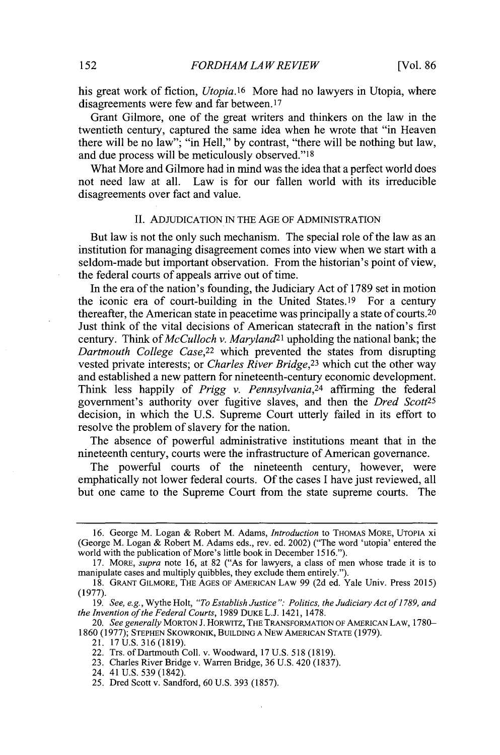his great work of fiction, *Utopia.16* More had no lawyers in Utopia, where disagreements were few and far between. <sup>17</sup>

Grant Gilmore, one of the great writers and thinkers on the law in the twentieth century, captured the same idea when he wrote that "in Heaven there will be no law"; "in Hell," **by** contrast, "there will be nothing but law, and due process will be meticulously observed."<sup>18</sup>

What More and Gilmore had in mind was the idea that a perfect world does not need law at all. Law is for our fallen world with its irreducible Law is for our fallen world with its irreducible disagreements over fact and value.

#### **II. ADJUDICATION IN** THE **AGE** OF **ADMINISTRATION**

But law is not the only such mechanism. The special role of the law as an institution for managing disagreement comes into view when we start with a seldom-made but important observation. From the historian's point of view, the federal courts of appeals arrive out of time.

In the era of the nation's founding, the Judiciary Act of **1789** set in motion the iconic era of court-building in the United States.<sup>19</sup> For a century thereafter, the American state in peacetime was principally a state of courts.<sup>20</sup> Just think of the vital decisions of American statecraft in the nation's first century. Think of *McCulloch v. Maryland*<sup>21</sup> upholding the national bank; the *Dartmouth College Case,<sup>22</sup>*which prevented the states from disrupting vested private interests; or *Charles River Bridge,23* which cut the other way and established a new pattern for nineteenth-century economic development. Think less happily of *Prigg v. Pennsylvania,<sup>24</sup>*affirming the federal government's authority over fugitive slaves, and then the *Dred Scott25* decision, in which the **U.S.** Supreme Court utterly failed in its effort to resolve the problem of slavery for the nation.

The absence of powerful administrative institutions meant that in the nineteenth century, courts were the infrastructure of American governance.

The powerful courts of the nineteenth century, however, were emphatically not lower federal courts. **Of** the cases **I** have just reviewed, all but one came to the Supreme Court from the state supreme courts. The

*20. See generally* **MORTON J. HORWITZ, THE TRANSFORMATION OF AMERICAN LAW, 1780- 1860 (1977); STEPHEN SKOwRONIK, BUILDING A NEW AMERICAN STATE (1979).**

24. 41 **U.S. 539** (1842).

<sup>16.</sup> George M. Logan & Robert M. Adams, *Introduction* to THOMAS MORE, UTOPIA xi (George M. Logan **&** Robert M. Adams eds., rev. ed. 2002) ("The word 'utopia' entered the world with the publication of More's little book in December **1516.").**

**<sup>17.</sup>** MORE, *supra* note **16,** at **82** ("As for lawyers, a class of men whose trade it is to manipulate cases and multiply quibbles, they exclude them entirely.").

**<sup>18.</sup> GRANT GILMORE, THE AGES OF AMERICAN LAW 99 (2d** ed. Yale Univ. Press **2015) (1977).**

*<sup>19.</sup> See, e.g.,* Wythe Holt, *"To Establish Justice": Politics, the Judiciary Act of 1789, and the Invention of the Federal Courts,* **1989 DUKE L.J.** 1421, **1478.**

<sup>21.</sup> **17 U.S. 316 (1819).**

<sup>22.</sup> Trs. of Dartmouth Coll. v. Woodward, **17 U.S. 518 (1819).**

**<sup>23.</sup>** Charles River Bridge v. Warren Bridge, **36 U.S.** 420 **(1837).**

**<sup>25.</sup>** Dred Scott v. Sandford, **60 U.S. 393 (1857).**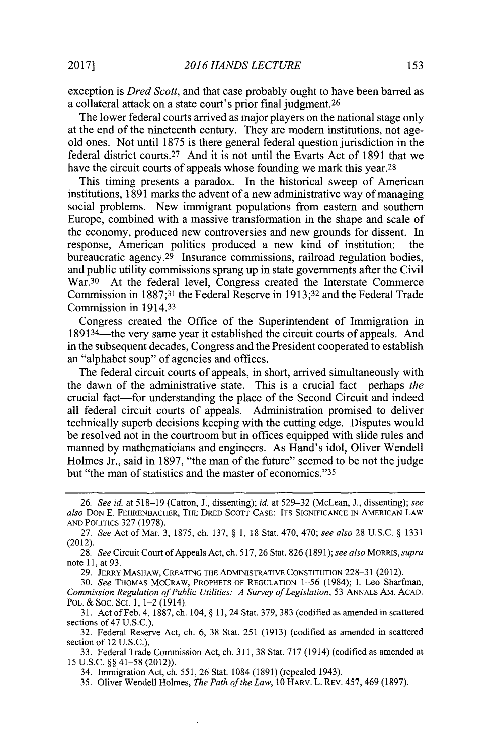exception is *Dred Scott,* and that case probably ought to have been barred as a collateral attack on a state court's prior final judgment. <sup>26</sup>

The lower federal courts arrived as major players on the national stage only at the end of the nineteenth century. They are modem institutions, not ageold ones. Not until **1875** is there general federal question jurisdiction in the federal district courts.<sup>27</sup> And it is not until the Evarts Act of 1891 that we have the circuit courts of appeals whose founding we mark this year.<sup>28</sup>

This timing presents a paradox. In the historical sweep of American institutions, **1891** marks the advent of a new administrative way of managing social problems. New immigrant populations from eastern and southern Europe, combined with a massive transformation in the shape and scale of the economy, produced new controversies and new grounds for dissent. In response, American politics produced a new kind of institution: the bureaucratic agency.<sup>29</sup> Insurance commissions, railroad regulation bodies, and public utility commissions sprang up in state governments after the Civil War.30 At the federal level, Congress created the Interstate Commerce Commission in **1887;31** the Federal Reserve in **1913;32** and the Federal Trade Commission in 1914.33

Congress created the Office of the Superintendent of Immigration in 1891<sup>34</sup>—the very same year it established the circuit courts of appeals. And in the subsequent decades, Congress and the President cooperated to establish an "alphabet soup" of agencies and offices.

The federal circuit courts of appeals, in short, arrived simultaneously with the dawn of the administrative state. This is a crucial fact-perhaps *the* crucial fact-for understanding the place of the Second Circuit and indeed all federal circuit courts of appeals. Administration promised to deliver technically superb decisions keeping with the cutting edge. Disputes would be resolved not in the courtroom but in offices equipped with slide rules and manned **by** mathematicians and engineers. As Hand's idol, Oliver Wendell Holmes Jr., said in **1897,** "the man of the future" seemed to be not the judge but "the man of statistics and the master of economics."<sup>35</sup>

**29. JERRY MASHAW, CREATING THE ADMINISTRATIVE CONSTITUTION 228-31** (2012).

*30. See* **THOMAS MCCRAW, PROPHETS OF REGULATION 1-56** (1984); I. Leo Sharfman, *Commission Regulation ofPublic Utilities: A Survey of Legislation,* **53 ANNALS** AM. **ACAD. POL.** *&* **Soc. SCI. 1,** 1-2 (1914).

**31.** Act ofFeb. 4, **1887,** ch. 104, **§ 11,** 24 Stat. **379, 383** (codified as amended in scattered sections of 47 **U.S.C.).**

**32.** Federal Reserve Act, ch. **6, 38** Stat. **251 (1913)** (codified as amended in scattered section of 12 **U.S.C.).**

**33.** Federal Trade Commission Act, ch. **311, 38** Stat. **717** (1914) (codified as amended at **15 U.S.C. §§** 41-58 (2012)).

34. Immigration Act, ch. **551, 26** Stat. 1084 **(1891)** (repealed 1943).

 $\mathcal{L}^{\text{max}}$ 

**35.** Oliver Wendell Holmes, *The Path of the Law, 10* HARV. L. REV. 457, 469 **(1897).**

 $\cdot$ 

*<sup>26.</sup> See id. at* **518-19** (Catron, **J.,** dissenting); *id. at* **529-32** (McLean, **J.,** dissenting); *see also* **DON E. FEHRENBACHER, THE DRED ScoTrT CASE: ITS SIGNIFICANCE IN AMERICAN LAW AND POLITICS 327 (1978).**

**<sup>27.</sup>** *See* Act of Mar. **3, 1875,** ch. **137, § 1, 18** Stat. 470, 470; *see also* **28 U.S.C. § 1331** (2012).

**<sup>28.</sup>** *See* Circuit Court of Appeals Act, ch. **517, 26** Stat. **826 (1891);** *see also MORRIS, supra* note **11,** at **93.**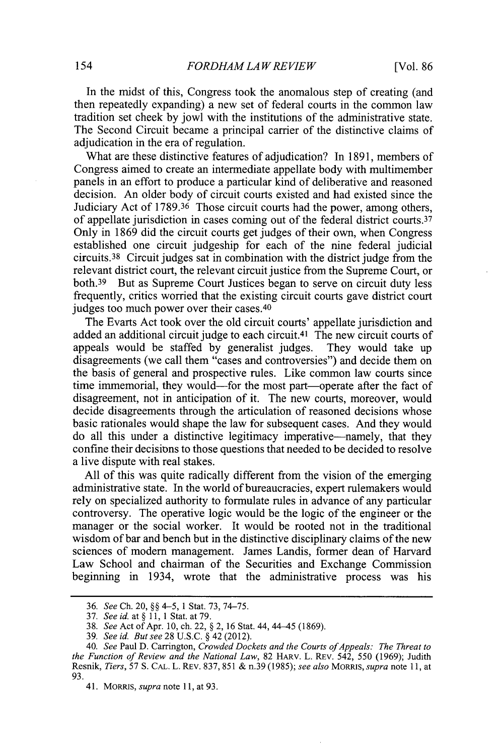In the midst of this, Congress took the anomalous step of creating (and then repeatedly expanding) a new set of federal courts in the common law tradition set cheek **by** jowl with the institutions of the administrative state. The Second Circuit became a principal carrier of the distinctive claims of adjudication in the era of regulation.

What are these distinctive features of adjudication? In **1891,** members of Congress aimed to create an intermediate appellate body with multimember panels in an effort to produce a particular kind of deliberative and reasoned decision. An older body of circuit courts existed and had existed since the Judiciary Act of **1789.36** Those circuit courts had the power, among others, of appellate jurisdiction in cases coming out of the federal district courts. <sup>37</sup> Only in **1869** did the circuit courts get judges of their own, when Congress established one circuit judgeship for each of the nine federal judicial  $circuits.$ <sup>38</sup> Circuit judges sat in combination with the district judge from the relevant district court, the relevant circuit justice from the Supreme Court, or both.39 But as Supreme Court Justices began to serve on circuit duty less frequently, critics worried that the existing circuit courts gave district court judges too much power over their cases.<sup>40</sup>

The Evarts Act took over the old circuit courts' appellate jurisdiction and added an additional circuit judge to each circuit.<sup>41</sup> The new circuit courts of appeals would be staffed by generalist judges. They would take up appeals would be staffed by generalist judges. disagreements (we call them "cases and controversies") and decide them on the basis of general and prospective rules. Like common law courts since time immemorial, they would-for the most part-operate after the fact of disagreement, not in anticipation of it. The new courts, moreover, would decide disagreements through the articulation of reasoned decisions whose basic rationales would shape the law for subsequent cases. And they would do all this under a distinctive legitimacy imperative-namely, that they confine their decisions to those questions that needed to be decided to resolve a live dispute with real stakes.

**All** of this was quite radically different from the vision of the emerging administrative state. In the world of bureaucracies, expert rulemakers would rely on specialized authority to formulate rules in advance of any particular controversy. The operative logic would **be** the logic of the engineer or the manager or the social worker. It would be rooted not in the traditional wisdom of bar and bench but in the distinctive disciplinary claims of the new sciences of modem management. James Landis, former dean of Harvard Law School and chairman of the Securities and Exchange Commission beginning in 1934, wrote that the administrative process was his

*<sup>36.</sup> See* **Ch.** 20, **§§** *4-5,* **1** Stat. **73,** *74-75.*

*<sup>37.</sup> See id. at* **§ 11, 1** Stat. at **79.**

*<sup>38.</sup> See* Act of Apr. **10,** ch. 22, **§** 2, **16** Stat. 44, 44-45 **(1869).**

*<sup>39.</sup> See id. But see* **28 U.S.C. §** 42 (2012).

<sup>40.</sup> See Paul D. Carrington, *Crowded Dockets and the Courts of Appeals: The Threat to the Function of Review and the National Law,* **82 HARv.** L. **REv.** *542, 550* **(1969);** Judith Resnik, *Tiers, 57* **S. CAL. L. REv. 837, 851 &** n.39 **(1985);** *see also MoRRIs, supra* note **11,** at **93.**

<sup>41.</sup> **MORRIS,** *supra* note **11,** at **93.**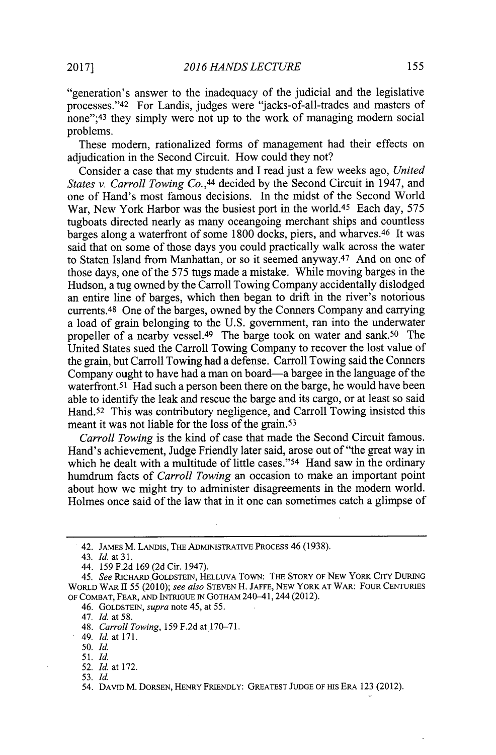"generation's answer to the inadequacy of the judicial and the legislative processes."42 For Landis, judges were "jacks-of-all-trades and masters of none"; 43 they simply were not up to the work of managing modern social problems.

These modem, rationalized forms of management had their effects on adjudication in the Second Circuit. How could they not?

Consider a case that my students and **I** read just a few weeks ago, *United States v. Carroll Towing Co.,44* decided **by** the Second Circuit in 1947, and one of Hand's most famous decisions. In the midst of the Second World War, New York Harbor was the busiest port in the world.45 Each day, *575* tugboats directed nearly as many oceangoing merchant ships and countless barges along a waterfront of some 1800 docks, piers, and wharves.<sup>46</sup> It was said that on some of those days you could practically walk across the water to Staten Island from Manhattan, or so it seemed anyway.<sup>47</sup> And on one of those days, one of the *575* tugs made a mistake. While moving barges in the Hudson, a tug owned **by** the Carroll Towing Company accidentally dislodged an entire line of barges, which then began to drift in the river's notorious currents.<sup>48</sup> One of the barges, owned by the Conners Company and carrying a load of grain belonging to the **U.S.** government, ran into the underwater propeller of a nearby vessel.<sup>49</sup> The barge took on water and sank.<sup>50</sup> The United States sued the Carroll Towing Company to recover the lost value of the grain, but Carroll Towing had a defense. Carroll Towing said the Conners Company ought to have had a man on board-a bargee in the language of the waterfront.<sup>51</sup> Had such a person been there on the barge, he would have been able to identify the leak and rescue the barge and its cargo, or at least so said Hand.<sup>52</sup> This was contributory negligence, and Carroll Towing insisted this meant it was not liable for the loss of the grain. <sup>53</sup>

*Carroll Towing* is the kind of case that made the Second Circuit famous. Hand's achievement, Judge Friendly later said, arose out of "the great way in which he dealt with a multitude of little cases."<sup>54</sup> Hand saw in the ordinary humdrum facts of *Carroll Towing* an occasion to make an important point about how we might try to administer disagreements in the modem world. Holmes once said of the law that in it one can sometimes catch a glimpse of

47. *Id. at* **58.**

49. *Id.* at **171.**

**50.** *Id.*

**51.** *Id.*

**52.** *Id.* at **172.**

**53.** *Id.*

<sup>42.</sup> **JAMES** M. LANDIS, THE **ADMINISTRATIVE PROCESS** 46 **(1938).**

<sup>43.</sup> *Id. at 31.*

<sup>44.</sup> **159 F.2d 169 (2d** Cir. 1947).

*<sup>45.</sup> See* **RICHARD.GOLDSTEIN, HELLUVA** TOWN: **THE STORY OF NEW** YORK CITY **DURING WORLD WAR** II **55** *(2010); see also* **STEVEN** H. **JAFFE, NEW** YORK **AT** WAR: FOUR **CENTURIES OF COMBAT, FEAR, AND INTRIGUE IN GOTHAM** 240-41, 244 (2012).

<sup>46.</sup> **GOLDSTEIN,** *supra* note 45, at **55.**

<sup>48.</sup> *Carroll Towing,* **159 F.2d** at 170-71.

<sup>54.</sup> **DAVID** M. **DORSEN, HENRY FRIENDLY: GREATEST JUDGE OF HIS** ERA **123** (2012).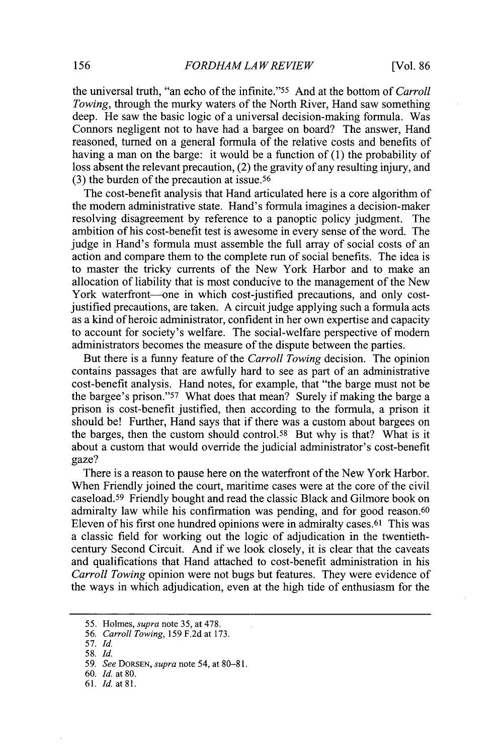the universal truth, "an echo of the infinite."<sup>55</sup>And at the bottom of *Carroll Towing,* through the murky waters of the North River, Hand saw something deep. He saw the basic logic of a universal decision-making formula. Was Connors negligent not to have had a bargee on board? The answer, Hand reasoned, turned on a general formula of the relative costs and benefits of having a man on the barge: it would be a function of **(1)** the probability of loss absent the relevant precaution, (2) the gravity of any resulting injury, and **(3)** the burden of the precaution at issue. <sup>56</sup>

The cost-benefit analysis that Hand articulated here is a core algorithm of the modem administrative state. Hand's formula imagines a decision-maker resolving disagreement **by** reference to a panoptic policy judgment. The ambition of his cost-benefit test is awesome in every sense of the word. The judge in Hand's formula must assemble the full array of social costs of an action and compare them to the complete run of social benefits. The idea is to master the tricky currents of the New York Harbor and to make an allocation of liability that is most conducive to the management of the New York waterfront--one in which cost-justified precautions, and only costjustified precautions, are taken. **A** circuit judge applying such a formula acts as a kind of heroic administrator, confident in her own expertise and capacity to account for society's welfare. The social-welfare perspective of modem administrators becomes the measure of the dispute between the parties.

But there is a funny feature of the *Carroll Towing* decision. The opinion contains passages that are awfully hard to see as part of an administrative cost-benefit analysis. Hand notes, for example, that "the barge must not be the bargee's prison."<sup>57</sup> What does that mean? Surely if making the barge a prison is cost-benefit justified, then according to the formula, a prison it should be! Further, Hand says that if there was a custom about bargees on the barges, then the custom should control.58 But why is that? What is it about a custom that would override the judicial administrator's cost-benefit gaze?

There is a reason to pause here on the waterfront of the New York Harbor. When Friendly joined the court, maritime cases were at the core of the civil caseload.<sup>59</sup> Friendly bought and read the classic Black and Gilmore book on admiralty law while his confirmation was pending, and for good reason.<sup>60</sup> Eleven of his first one hundred opinions were in admiralty cases.<sup>61</sup> This was a classic field for working out the logic of adjudication in the twentiethcentury Second Circuit. And if we look closely, it is clear that the caveats and qualifications that Hand attached to cost-benefit administration in his *Carroll Towing* opinion were not bugs but features. They were evidence of the ways in which adjudication, even at the high tide of enthusiasm for the

*<sup>55.</sup>* Holmes, *supra* note **35,** at **478.**

*<sup>56.</sup> Carroll Towing,* **159 F.2d** at **173.**

*<sup>57.</sup> Id.*

*<sup>58.</sup> Id.*

**<sup>59.</sup>** *See DORSEN, supra* note **54,** at **80-81.**

**<sup>60.</sup>** *Id.* at **80.**

**<sup>61.</sup>** *Id.* at **81.**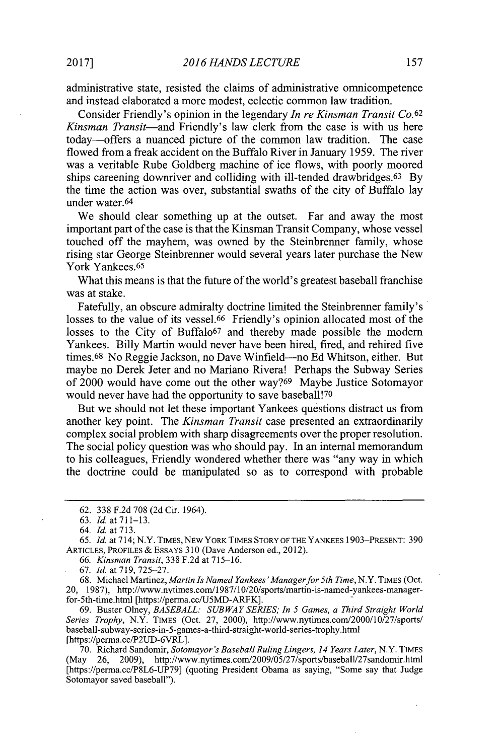administrative state, resisted the claims of administrative omnicompetence and instead elaborated a more modest, eclectic common law tradition.

Consider Friendly's opinion in the legendary *In re Kinsman Transit Co.62 Kinsman Transit-and* Friendly's law clerk from the case is with us here today-offers a nuanced picture of the common law tradition. The case flowed from a freak accident on the Buffalo River in January *1959.* The river was a veritable Rube Goldberg machine of ice flows, with poorly moored ships careening downriver and colliding with ill-tended drawbridges.63 **By** the time the action was over, substantial swaths of the city of Buffalo lay under water.<sup>64</sup>

We should clear something up at the outset. Far and away the most important part of the case is that the Kinsman Transit Company, whose vessel touched off the mayhem, was owned **by** the Steinbrenner family, whose rising star George Steinbrenner would several years later purchase the New York Yankees.<sup>65</sup>

What this means is that the future of the world's greatest baseball franchise was at stake.

Fatefully, an obscure admiralty doctrine limited the Steinbrenner family's losses to the value of its vessel.<sup>66</sup> Friendly's opinion allocated most of the losses to the City of Buffalo<sup>67</sup> and thereby made possible the modern Yankees. Billy Martin would never have been hired, fired, and rehired five times.<sup>68</sup> No Reggie Jackson, no Dave Winfield--no Ed Whitson, either. But maybe no Derek Jeter and no Mariano Rivera! Perhaps the Subway Series of 2000 would have come out the other way?<sup>69</sup> Maybe Justice Sotomayor would never have had the opportunity to save baseball!<sup>70</sup>

But we should not let these important Yankees questions distract us from another key point. The *Kinsman Transit* case presented an extraordinarily complex social problem with sharp disagreements over the proper resolution. The social policy question was who should pay. In an internal memorandum to his colleagues, Friendly wondered whether there was "any way in which the doctrine could be manipulated so as to correspond with probable

**67.** *Id.* at **719, 725-27.**

**68.** Michael Martinez, *Martin Is Named Yankees' Manager for 5th Time,* N.Y. **TIMES** (Oct. 20, **1987),** http://www.nytimes.com/1987/10/20/sports/martin-is-named-yankees-managerfor-5th-time.html [https://perma.cc/U5MD-ARFK].

**69.** Buster Olney, *BASEBALL: SUBWAY SERIES; In 5 Games, a Third Straight World Series Trophy,* N.Y. TIMES (Oct. **27,** 2000), http://www.nytimes.com/2000/10/27/sports/ baseball-subway-series-in-5-games-a-third-straight-world-series-trophy.htm [https://perma.cc/P2UD-6VRL].

**70.** Richard Sandomir, *Sotomayor's Baseball Ruling Lingers, 14 Years Later,* N.Y. TIMES (May **26, 2009),** http://www.nytimes.com/2009/05/27/sports/baseball/27sandomir.html [https://perma.cc/P8L6-UP79] (quoting President Obama as saying, "Some say that Judge Sotomayor saved baseball").

**<sup>62. 338</sup> F.2d 708 (2d** Cir. 1964).

**<sup>63.</sup> Id.** at **711-13.**

*<sup>64.</sup> Id.* at **713.**

*<sup>65.</sup> Id.* at 714; N.Y. **TIMES, NEW** YORK **TIMES STORY OF THE YANKEES 1903-PRESENT: 390 ARTICLES, PROFILES & ESSAYS 310** (Dave Anderson ed., 2012).

*<sup>66.</sup> Kinsman Transit,* **338 F.2d** at **715-16.**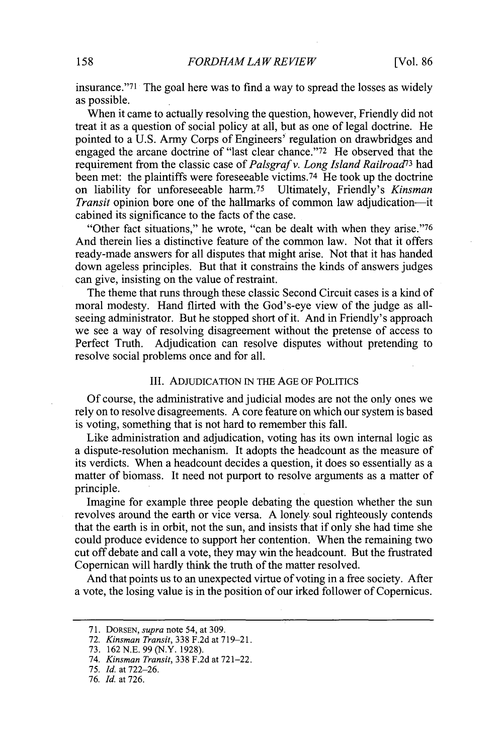insurance." $71$  The goal here was to find a way to spread the losses as widely as possible.

When it came to actually resolving the question, however, Friendly did not treat it as a question of social policy at all, but as one of legal doctrine. He pointed to a **U.S.** Army Corps of Engineers' regulation on drawbridges and engaged the arcane doctrine of "last clear chance." $72$  He observed that the requirement from the classic case of *Palsgraf v. Long Island Railroad<sup>73</sup>*had been met: the plaintiffs were foreseeable victims.<sup>74</sup> He took up the doctrine on liability for unforeseeable harm.75 Ultimately, Friendly's *Kinsman Transit* opinion bore one of the hallmarks of common law adjudication---it cabined its significance to the facts of the case.

"Other fact situations," he wrote, "can be dealt with when they arise." <sup>76</sup> And therein lies a distinctive feature of the common law. Not that it offers ready-made answers for all disputes that might arise. Not that it has handed down ageless principles. But that it constrains the kinds of answers judges can give, insisting on the value of restraint.

The theme that runs through these classic Second Circuit cases is a kind of moral modesty. Hand flirted with the God's-eye view of the judge as allseeing administrator. But he stopped short of it. And in Friendly's approach we see a way of resolving disagreement without the pretense of access to Perfect Truth. Adjudication can resolve disputes without pretending to resolve social problems once and for all.

## III. ADJUDICATION **IN** THE **AGE** OF POLITICS

**Of** course, the administrative and judicial modes are not the only ones we rely on to resolve disagreements. **A** core feature on which our system is based is voting, something that is not hard to remember this fall.

Like administration and adjudication, voting has its own internal logic as a dispute-resolution mechanism. It adopts the headcount as the measure of its verdicts. When a headcount decides a question, it does so essentially as a matter of biomass. It need not purport to resolve arguments as a matter of principle.

Imagine for example three people debating the question whether the sun revolves around the earth or vice versa. **A** lonely soul righteously contends that the earth is in orbit, not the sun, and insists that if only she had time she could produce evidence to support her contention. When the remaining two cut off debate and call a vote, they may win the headcount. But the frustrated Copernican will hardly think the truth of the matter resolved.

And that points us to an unexpected virtue of voting in a free society. After a vote, the losing value is in the position of our irked follower of Copernicus.

**75.** *Id. at* **722-26.**

**<sup>71.</sup> DORSEN,** *supra* note *54, at* **309.**

**<sup>72.</sup>** *Kinsman Transit,* **338 F.2d** *at* **719-21.**

**<sup>73. 162</sup> N.E. 99** (N.Y. **1928).**

<sup>74.</sup> *Kinsman Transit,* **338 F.2d** *at* **721-22.**

*<sup>76.</sup> Id. at* **726.**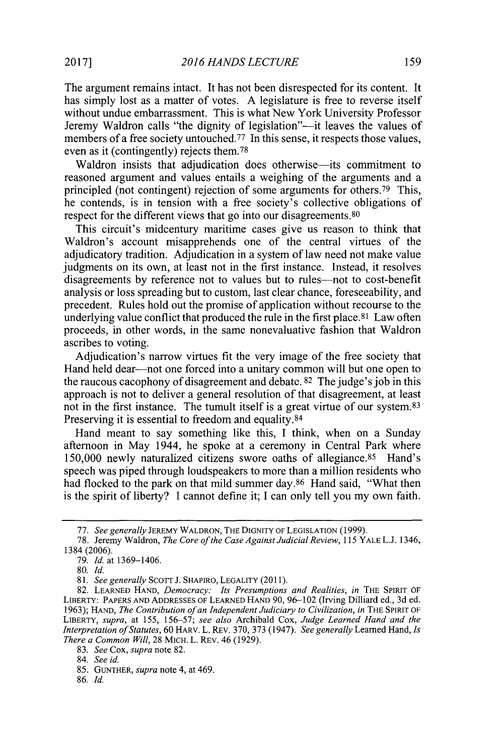The argument remains intact. It has not been disrespected for its content. It has simply lost as a matter of votes. **A** legislature is free to reverse itself without undue embarrassment. This is what New York University Professor Jeremy Waldron calls "the dignity of legislation"-it leaves the values of members of a free society untouched.<sup> $77$ </sup> In this sense, it respects those values, even as it (contingently) rejects them. <sup>78</sup>

Waldron insists that adjudication does otherwise-its commitment to reasoned argument and values entails a weighing of the arguments and a principled (not contingent) rejection of some arguments for others.<sup>79</sup> This, he contends, is in tension with a free society's collective obligations of respect for the different views that go into our disagreements.<sup>80</sup>

This circuit's midcentury maritime cases give us reason to think that Waldron's account misapprehends one of the central virtues of the adjudicatory tradition. Adjudication in a system of law need not make value judgments on its own, at least not in the first instance. Instead, it resolves disagreements **by** reference not to values but to rules-not to cost-benefit analysis or loss spreading but to custom, last clear chance, foreseeability, and precedent. Rules hold out the promise of application without recourse to the underlying value conflict that produced the rule in the first place.<sup>81</sup> Law often proceeds, in other words, in the same nonevaluative fashion that Waldron ascribes to voting.

Adjudication's narrow virtues fit the very image of the free society that Hand held dear-not one forced into a unitary common will but one open to the raucous cacophony of disagreement and debate. **82** The judge's **job** in this approach is not to deliver a general resolution of that disagreement, at least not in the first instance. The tumult itself is a great virtue of our system. <sup>83</sup> Preserving it is essential to freedom and equality.<sup>84</sup>

Hand meant to say something like this, **I** think, when on a Sunday afternoon in May 1944, he spoke at a ceremony in Central Park where 150,000 newly naturalized citizens swore oaths of allegiance.<sup>85</sup> Hand's speech was piped through loudspeakers to more than a million residents who had flocked to the park on that mild summer day.<sup>86</sup> Hand said, "What then is the spirit of liberty? **I** cannot define it; **I** can only tell you my own faith.

**<sup>77.</sup>** *See generally* JEREMY WALDRON, THE **DIGNITY** OF **LEGISLATION (1999).**

**<sup>78.</sup>** Jeremy Waldron, *The Core ofthe Case Against Judicial Review, 115* YALE **L.J.** 1346, 1384 **(2006).**

**<sup>79.</sup>** *Id. at* **1369-1406.**

*<sup>80.</sup> Id.*

*<sup>81.</sup> See generally* Scorr **J.** SHAPIRO, LEGALITY **(2011).**

**<sup>82.</sup> LEARNED** HAND, *Democracy: Its Presumptions and Realities, in* THE **SPIRIT** OF LIBERTY: PAPERS **AND ADDRESSES** OF **LEARNED HAND 90, 96-102** (Irving Dilliard **ed., 3d ed. 1963); HAND,** *The Contribution of an Independent Judiciary to Civilization, in* THE SPIRIT OF LIBERTY, *supra, at 155, 156-57; see also* Archibald Cox, *Judge Learned Hand and the Interpretation ofStatutes,* **60** HARV. L. REv. **370, 373** (1947). *See generally* Learned Hand, *Is There a Common Will,* **28** MICH. L. REv. 46 **(1929).**

*<sup>83.</sup> See Cox, supra* note **82.**

*<sup>84.</sup> See id.*

**<sup>85.</sup> GUNTHER,** *supra* note 4, at 469.

**<sup>86.</sup>** *Id.*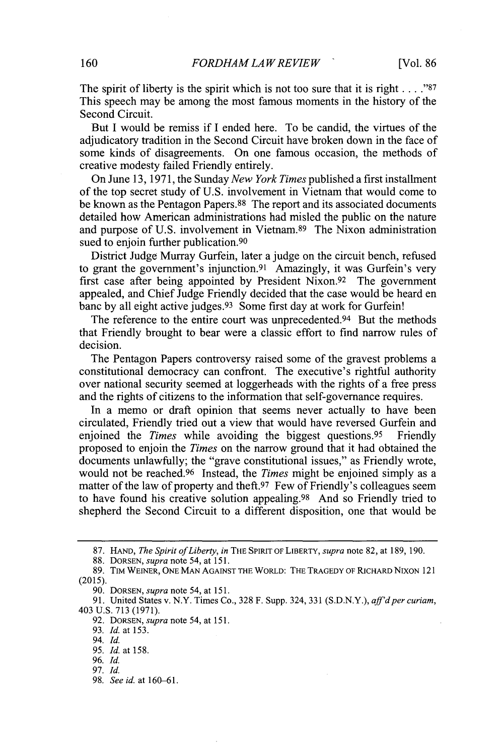The spirit of liberty is the spirit which is not too sure that it is right **. . . ."87** This speech may be among the most famous moments in the history of the Second Circuit.

But **I** would be remiss if **I** ended here. To be candid, the virtues of the adjudicatory tradition in the Second Circuit have broken down in the face of some kinds of disagreements. On one famous occasion, the methods of creative modesty failed Friendly entirely.

On June **13, 1971,** the Sunday *New York Times* published a first installment of the top secret study of **U.S.** involvement in Vietnam that would come to be known as the Pentagon Papers.88 The report and its associated documents detailed how American administrations had misled the public on the nature and purpose of U.S. involvement in Vietnam.<sup>89</sup> The Nixon administration sued to enjoin further publication.<sup>90</sup>

District Judge Murray Gurfein, later a judge on the circuit bench, refused to grant the government's injunction.<sup>91</sup> Amazingly, it was Gurfein's very first case after being appointed **by** President Nixon.92 The government appealed, and Chief Judge Friendly decided that the case would be heard en banc by all eight active judges.<sup>93</sup> Some first day at work for Gurfein!

The reference to the entire court was unprecedented. $94$  But the methods that Friendly brought to bear were a classic effort to find narrow rules of decision.

The Pentagon Papers controversy raised some of the gravest problems a constitutional democracy can confront. The executive's rightful authority over national security seemed at loggerheads with the rights of a free press and the rights of citizens to the information that self-governance requires.

In a memo or draft opinion that seems never actually to have been circulated, Friendly tried out a view that would have reversed Gurfein and enjoined the *Times* while avoiding the biggest questions.95 Friendly proposed to enjoin the *Times* on the narrow ground that it had obtained the documents unlawfully; the "grave constitutional issues," as Friendly wrote, would not be reached.<sup>96</sup> Instead, the *Times* might be enjoined simply as a matter of the law of property and theft.<sup>97</sup> Few of Friendly's colleagues seem to have found his creative solution appealing. 98 And so Friendly tried to shepherd the Second Circuit to a different disposition, one that would be

**<sup>87.</sup> HAND,** *The Spirit ofLiberty, in* THE SPIRIT OF LIBERTY, *supra* note **82,** at **189, 190.**

**<sup>88.</sup> DORSEN,** *supra* note 54, at *151.*

**<sup>89.</sup>** TIM WEINER, **ONE MAN AGAINST THE** WORLD: THE TRAGEDY OF RICHARD NIXON 121 **(2015).**

**<sup>90.</sup> DORSEN,** *supra* note 54, at *151.*

**<sup>91.</sup>** United States v. N.Y. Times Co., **328** F. Supp. 324, **331 (S.D.N.Y.),** *affd per curiam,* 403 **U.S. 713 (1971).**

**<sup>92.</sup> DORSEN,** *supra* note *54,* at *151.*

**<sup>93.</sup>** *Id.* at **153.**

<sup>94.</sup> *Id.*

**<sup>95.</sup>** *Id.* at **158.**

**<sup>96.</sup>** *Id.*

**<sup>97.</sup>** *Id.*

**<sup>98.</sup>** *See id. at 160-61.*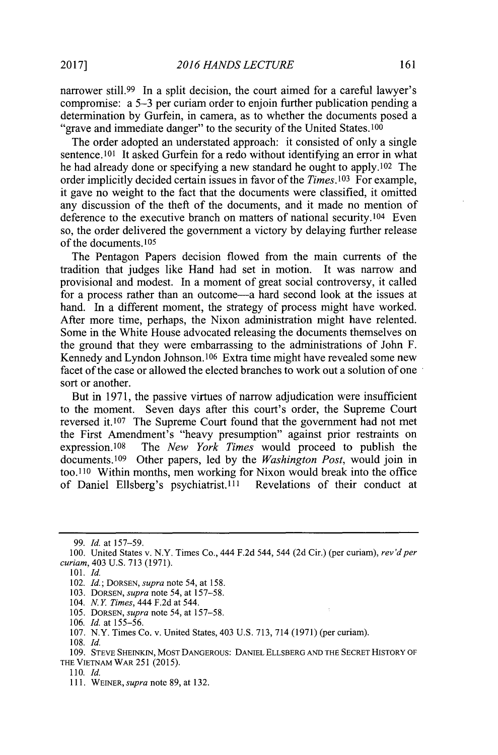narrower still.<sup>99</sup> In a split decision, the court aimed for a careful lawyer's compromise: a *5-3* per curiam order to enjoin further publication pending a determination **by** Gurfein, in camera, as to whether the documents posed a "grave and immediate danger" to the security of the United States.<sup>100</sup>

The order adopted an understated approach: it consisted of only a single sentence.101 It asked Gurfein for a redo without identifying an error in what he had already done or specifying a new standard he ought to apply.<sup>102</sup> The order implicitly decided certain issues in favor of the *Times*.<sup>103</sup> For example, it gave no weight to the fact that the documents were classified, it omitted any discussion of the theft of the documents, and it made no mention of deference to the executive branch on matters of national security.<sup>104</sup> Even so, the order delivered the government a victory **by** delaying further release of the documents.<sup>105</sup>

The Pentagon Papers decision flowed from the main currents of the tradition that judges like Hand had set in motion. It was narrow and provisional and modest. In a moment of great social controversy, it called for a process rather than an outcome—a hard second look at the issues at hand. In a different moment, the strategy of process might have worked. After more time, perhaps, the Nixon administration might have relented. Some in the White House advocated releasing the documents themselves on the ground that they were embarrassing to the administrations of John F. Kennedy and Lyndon Johnson.106 Extra time might have revealed some new facet of the case or allowed the elected branches to work out a solution of one sort or another.

But **in 1971,** the passive virtues of narrow adjudication were insufficient to the moment. Seven days after this court's order, the Supreme Court reversed it. **107** The Supreme Court found that the government had not met the First Amendment's "heavy presumption" against prior restraints on expression.10s The *New York Times* would proceed to publish the documents.109 Other papers, led **by** the *Washington Post,* would join in too.110 Within months, men working for Nixon would break into the office of Daniel Ellsberg's psychiatrist.<sup>111</sup> Revelations of their conduct at

*105.* **DORSEN,** *supra* note *54, at* **157-58.**

**109. STEVE SHEINKIN, MOST DANGEROUS: DANIEL ELLSBERG AND THE SECRET HISTORY OF THE VIETNAM WAR 251** *(2015).*

*<sup>99.</sup> Id.* at **157-59.**

**<sup>100.</sup>** United States v. N.Y. Times Co., 444 **F.2d** 544, 544 **(2d** Cir.) (per curiam), *rev'd per curiam,* 403 **U.S. 713 (1971).**

**<sup>101.</sup>** *Id.*

<sup>102.</sup> *Id.; DORSEN, supra* note *54,* at *158.*

**<sup>103.</sup> DORSEN,** *supra* note *54,* at *157-58.*

<sup>104.</sup> *N.Y Times,* 444 **F.2d** at 544.

**<sup>106.</sup>** *Id.* at *155-56.*

**<sup>107.</sup>** N.Y. Times Co. v. United States, 403 **U.S. 713,** 714 **(1971)** (per curiam).

**<sup>108.</sup>** *Id.*

*<sup>110.</sup> Id.*

**<sup>111.</sup> WEINER,** *supra* note **89,** at **132.**